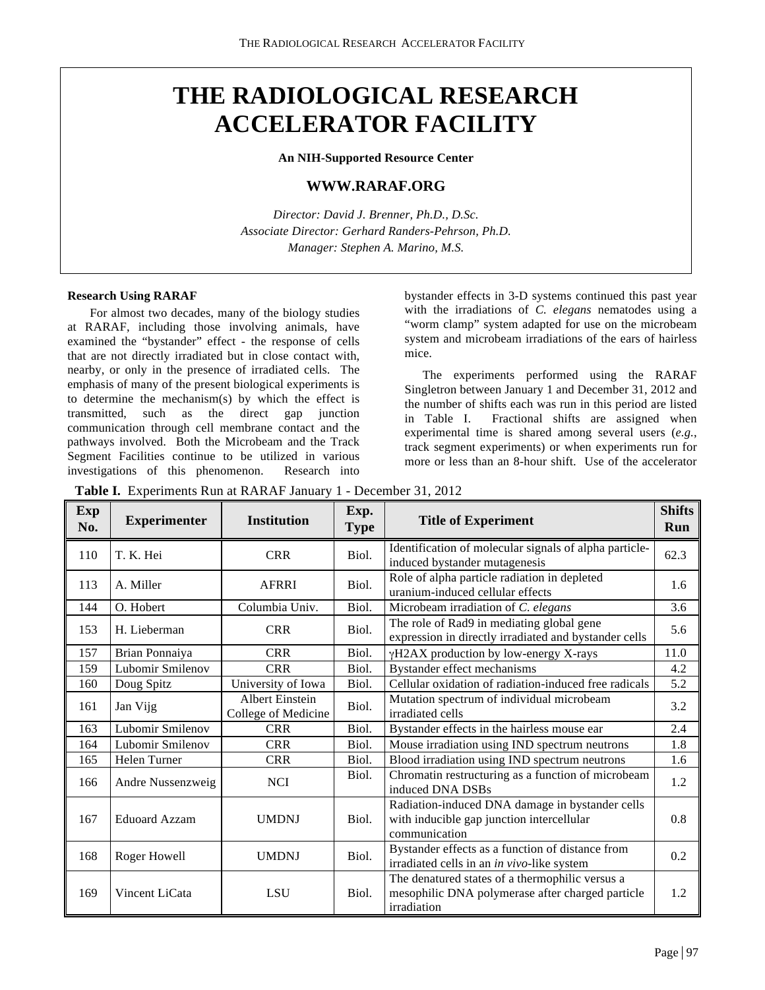# **THE RADIOLOGICAL RESEARCH ACCELERATOR FACILITY**

**An NIH-Supported Resource Center**

# **WWW.RARAF.ORG**

*Director: David J. Brenner, Ph.D., D.Sc. Associate Director: Gerhard Randers-Pehrson, Ph.D. Manager: Stephen A. Marino, M.S.*

## **Research Using RARAF**

For almost two decades, many of the biology studies at RARAF, including those involving animals, have examined the "bystander" effect - the response of cells that are not directly irradiated but in close contact with, nearby, or only in the presence of irradiated cells. The emphasis of many of the present biological experiments is to determine the mechanism(s) by which the effect is transmitted, such as the direct gap junction communication through cell membrane contact and the pathways involved. Both the Microbeam and the Track Segment Facilities continue to be utilized in various investigations of this phenomenon. Research into

bystander effects in 3-D systems continued this past year with the irradiations of *C. elegans* nematodes using a "worm clamp" system adapted for use on the microbeam system and microbeam irradiations of the ears of hairless mice.

The experiments performed using the RARAF Singletron between January 1 and December 31, 2012 and the number of shifts each was run in this period are listed in Table I. Fractional shifts are assigned when experimental time is shared among several users (*e.g.*, track segment experiments) or when experiments run for more or less than an 8-hour shift. Use of the accelerator

**Table I.** Experiments Run at RARAF January 1 - December 31, 2012

| <b>Exp</b><br>No. | <b>Experimenter</b>  | <b>Institution</b>                            | Exp.<br><b>Type</b> | <b>Title of Experiment</b>                                                                                         | <b>Shifts</b><br>Run |
|-------------------|----------------------|-----------------------------------------------|---------------------|--------------------------------------------------------------------------------------------------------------------|----------------------|
| 110               | T. K. Hei            | <b>CRR</b>                                    | Biol.               | Identification of molecular signals of alpha particle-<br>induced bystander mutagenesis                            | 62.3                 |
| 113               | A. Miller            | <b>AFRRI</b>                                  | Biol.               | Role of alpha particle radiation in depleted<br>uranium-induced cellular effects                                   | 1.6                  |
| 144               | O. Hobert            | Columbia Univ.                                | Biol.               | Microbeam irradiation of C. elegans                                                                                | 3.6                  |
| 153               | H. Lieberman         | <b>CRR</b>                                    | Biol.               | The role of Rad9 in mediating global gene<br>expression in directly irradiated and bystander cells                 | 5.6                  |
| 157               | Brian Ponnaiya       | <b>CRR</b>                                    | Biol.               | γH2AX production by low-energy X-rays                                                                              | 11.0                 |
| 159               | Lubomir Smilenov     | <b>CRR</b>                                    | Biol.               | Bystander effect mechanisms                                                                                        | 4.2                  |
| 160               | Doug Spitz           | University of Iowa                            | Biol.               | Cellular oxidation of radiation-induced free radicals                                                              | 5.2                  |
| 161               | Jan Vijg             | <b>Albert Einstein</b><br>College of Medicine | Biol.               | Mutation spectrum of individual microbeam<br>irradiated cells                                                      | 3.2                  |
| 163               | Lubomir Smilenov     | <b>CRR</b>                                    | Biol.               | Bystander effects in the hairless mouse ear                                                                        | 2.4                  |
| 164               | Lubomir Smilenov     | <b>CRR</b>                                    | Biol.               | Mouse irradiation using IND spectrum neutrons                                                                      | 1.8                  |
| 165               | Helen Turner         | <b>CRR</b>                                    | Biol.               | Blood irradiation using IND spectrum neutrons                                                                      | 1.6                  |
| 166               | Andre Nussenzweig    | <b>NCI</b>                                    | Biol.               | Chromatin restructuring as a function of microbeam<br>induced DNA DSBs                                             | 1.2                  |
| 167               | <b>Eduoard Azzam</b> | <b>UMDNJ</b>                                  | Biol.               | Radiation-induced DNA damage in bystander cells<br>with inducible gap junction intercellular<br>communication      | 0.8                  |
| 168               | Roger Howell         | <b>UMDNJ</b>                                  | Biol.               | Bystander effects as a function of distance from<br>irradiated cells in an in vivo-like system                     | 0.2                  |
| 169               | Vincent LiCata       | <b>LSU</b>                                    | Biol.               | The denatured states of a thermophilic versus a<br>mesophilic DNA polymerase after charged particle<br>irradiation | 1.2                  |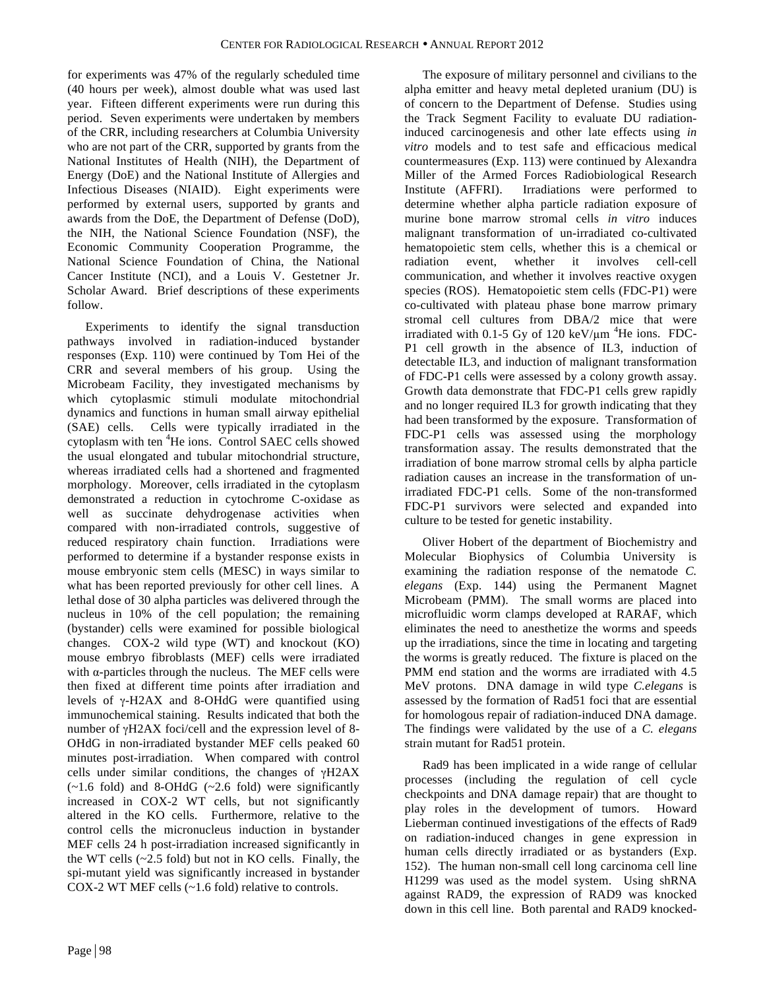for experiments was 47% of the regularly scheduled time (40 hours per week), almost double what was used last year. Fifteen different experiments were run during this period.Seven experiments were undertaken by members of the CRR, including researchers at Columbia University who are not part of the CRR, supported by grants from the National Institutes of Health (NIH), the Department of Energy (DoE) and the National Institute of Allergies and Infectious Diseases (NIAID). Eight experiments were performed by external users, supported by grants and awards from the DoE, the Department of Defense (DoD), the NIH, the National Science Foundation (NSF), the Economic Community Cooperation Programme, the National Science Foundation of China, the National Cancer Institute (NCI), and a Louis V. Gestetner Jr. Scholar Award. Brief descriptions of these experiments follow.

Experiments to identify the signal transduction pathways involved in radiation-induced bystander responses (Exp. 110) were continued by Tom Hei of the CRR and several members of his group. Using the Microbeam Facility, they investigated mechanisms by which cytoplasmic stimuli modulate mitochondrial dynamics and functions in human small airway epithelial (SAE) cells. Cells were typically irradiated in the cytoplasm with ten <sup>4</sup>He ions. Control SAEC cells showed the usual elongated and tubular mitochondrial structure, whereas irradiated cells had a shortened and fragmented morphology. Moreover, cells irradiated in the cytoplasm demonstrated a reduction in cytochrome C-oxidase as well as succinate dehydrogenase activities when compared with non-irradiated controls, suggestive of reduced respiratory chain function. Irradiations were performed to determine if a bystander response exists in mouse embryonic stem cells (MESC) in ways similar to what has been reported previously for other cell lines. A lethal dose of 30 alpha particles was delivered through the nucleus in 10% of the cell population; the remaining (bystander) cells were examined for possible biological changes. COX-2 wild type (WT) and knockout (KO) mouse embryo fibroblasts (MEF) cells were irradiated with  $\alpha$ -particles through the nucleus. The MEF cells were then fixed at different time points after irradiation and levels of γ-H2AX and 8-OHdG were quantified using immunochemical staining. Results indicated that both the number of γH2AX foci/cell and the expression level of 8- OHdG in non-irradiated bystander MEF cells peaked 60 minutes post-irradiation. When compared with control cells under similar conditions, the changes of γH2AX  $(-1.6 \text{ fold})$  and 8-OHdG  $(-2.6 \text{ fold})$  were significantly increased in COX-2 WT cells, but not significantly altered in the KO cells. Furthermore, relative to the control cells the micronucleus induction in bystander MEF cells 24 h post-irradiation increased significantly in the WT cells  $(-2.5 \text{ fold})$  but not in KO cells. Finally, the spi-mutant yield was significantly increased in bystander COX-2 WT MEF cells (~1.6 fold) relative to controls.

Miller of the Armed Forces Radiobiological Research Institute (AFFRI). Irradiations were performed to determine whether alpha particle radiation exposure of murine bone marrow stromal cells *in vitro* induces malignant transformation of un-irradiated co-cultivated hematopoietic stem cells, whether this is a chemical or radiation event, whether it involves cell-cell communication, and whether it involves reactive oxygen species (ROS). Hematopoietic stem cells (FDC-P1) were co-cultivated with plateau phase bone marrow primary stromal cell cultures from DBA/2 mice that were irradiated with 0.1-5 Gy of 120 keV/ $\mu$ m <sup>4</sup>He ions. FDC-P1 cell growth in the absence of IL3, induction of detectable IL3, and induction of malignant transformation of FDC-P1 cells were assessed by a colony growth assay. Growth data demonstrate that FDC-P1 cells grew rapidly and no longer required IL3 for growth indicating that they had been transformed by the exposure. Transformation of FDC-P1 cells was assessed using the morphology transformation assay. The results demonstrated that the irradiation of bone marrow stromal cells by alpha particle radiation causes an increase in the transformation of unirradiated FDC-P1 cells. Some of the non-transformed FDC-P1 survivors were selected and expanded into culture to be tested for genetic instability. Oliver Hobert of the department of Biochemistry and Molecular Biophysics of Columbia University is examining the radiation response of the nematode *C. elegans* (Exp. 144) using the Permanent Magnet Microbeam (PMM). The small worms are placed into microfluidic worm clamps developed at RARAF, which

The exposure of military personnel and civilians to the alpha emitter and heavy metal depleted uranium (DU) is of concern to the Department of Defense. Studies using the Track Segment Facility to evaluate DU radiationinduced carcinogenesis and other late effects using *in vitro* models and to test safe and efficacious medical countermeasures (Exp. 113) were continued by Alexandra

eliminates the need to anesthetize the worms and speeds up the irradiations, since the time in locating and targeting the worms is greatly reduced. The fixture is placed on the PMM end station and the worms are irradiated with 4.5 MeV protons. DNA damage in wild type *C.elegans* is assessed by the formation of Rad51 foci that are essential for homologous repair of radiation-induced DNA damage. The findings were validated by the use of a *C. elegans* strain mutant for Rad51 protein.

Rad9 has been implicated in a wide range of cellular processes (including the regulation of cell cycle checkpoints and DNA damage repair) that are thought to play roles in the development of tumors. Howard Lieberman continued investigations of the effects of Rad9 on radiation-induced changes in gene expression in human cells directly irradiated or as bystanders (Exp. 152). The human non-small cell long carcinoma cell line H1299 was used as the model system. Using shRNA against RAD9, the expression of RAD9 was knocked down in this cell line. Both parental and RAD9 knocked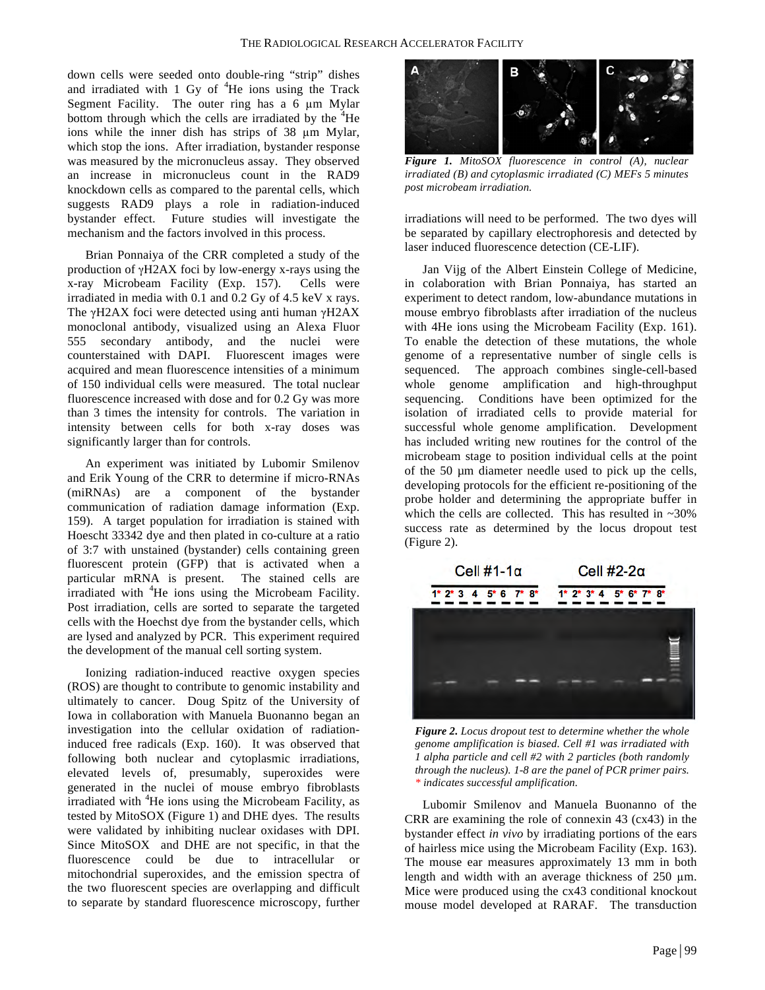down cells were seeded onto double-ring "strip" dishes and irradiated with  $1$  Gy of  $4$ He ions using the Track Segment Facility. The outer ring has a 6 µm Mylar bottom through which the cells are irradiated by the  ${}^{4}$ He ions while the inner dish has strips of 38 µm Mylar, which stop the ions. After irradiation, bystander response was measured by the micronucleus assay. They observed an increase in micronucleus count in the RAD9 knockdown cells as compared to the parental cells, which suggests RAD9 plays a role in radiation-induced bystander effect. Future studies will investigate the mechanism and the factors involved in this process.

Brian Ponnaiya of the CRR completed a study of the production of γH2AX foci by low-energy x-rays using the x-ray Microbeam Facility (Exp. 157). Cells were irradiated in media with 0.1 and 0.2 Gy of 4.5 keV x rays. The γH2AX foci were detected using anti human γH2AX monoclonal antibody, visualized using an Alexa Fluor 555 secondary antibody, and the nuclei were counterstained with DAPI. Fluorescent images were acquired and mean fluorescence intensities of a minimum of 150 individual cells were measured. The total nuclear fluorescence increased with dose and for 0.2 Gy was more than 3 times the intensity for controls. The variation in intensity between cells for both x-ray doses was significantly larger than for controls.

An experiment was initiated by Lubomir Smilenov and Erik Young of the CRR to determine if micro-RNAs (miRNAs) are a component of the bystander communication of radiation damage information (Exp. 159). A target population for irradiation is stained with Hoescht 33342 dye and then plated in co-culture at a ratio of 3:7 with unstained (bystander) cells containing green fluorescent protein (GFP) that is activated when a particular mRNA is present. The stained cells are irradiated with <sup>4</sup>He ions using the Microbeam Facility. Post irradiation, cells are sorted to separate the targeted cells with the Hoechst dye from the bystander cells, which are lysed and analyzed by PCR. This experiment required the development of the manual cell sorting system.

Ionizing radiation-induced reactive oxygen species (ROS) are thought to contribute to genomic instability and ultimately to cancer. Doug Spitz of the University of Iowa in collaboration with Manuela Buonanno began an investigation into the cellular oxidation of radiationinduced free radicals (Exp. 160). It was observed that following both nuclear and cytoplasmic irradiations, elevated levels of, presumably, superoxides were generated in the nuclei of mouse embryo fibroblasts irradiated with <sup>4</sup>He ions using the Microbeam Facility, as tested by MitoSOX (Figure 1) and DHE dyes. The results were validated by inhibiting nuclear oxidases with DPI. Since MitoSOX and DHE are not specific, in that the fluorescence could be due to intracellular or mitochondrial superoxides, and the emission spectra of the two fluorescent species are overlapping and difficult to separate by standard fluorescence microscopy, further



*Figure 1. MitoSOX fluorescence in control (A), nuclear irradiated (B) and cytoplasmic irradiated (C) MEFs 5 minutes post microbeam irradiation.*

irradiations will need to be performed. The two dyes will be separated by capillary electrophoresis and detected by laser induced fluorescence detection (CE-LIF).

Jan Vijg of the Albert Einstein College of Medicine, in colaboration with Brian Ponnaiya, has started an experiment to detect random, low-abundance mutations in mouse embryo fibroblasts after irradiation of the nucleus with 4He ions using the Microbeam Facility (Exp. 161). To enable the detection of these mutations, the whole genome of a representative number of single cells is sequenced. The approach combines single-cell-based whole genome amplification and high-throughput sequencing. Conditions have been optimized for the isolation of irradiated cells to provide material for successful whole genome amplification. Development has included writing new routines for the control of the microbeam stage to position individual cells at the point of the 50 µm diameter needle used to pick up the cells, developing protocols for the efficient re-positioning of the probe holder and determining the appropriate buffer in which the cells are collected. This has resulted in  $~20\%$ success rate as determined by the locus dropout test (Figure 2).



*Figure 2. Locus dropout test to determine whether the whole genome amplification is biased. Cell #1 was irradiated with 1 alpha particle and cell #2 with 2 particles (both randomly through the nucleus). 1-8 are the panel of PCR primer pairs. \* indicates successful amplification.*

Lubomir Smilenov and Manuela Buonanno of the CRR are examining the role of connexin 43 (cx43) in the bystander effect *in vivo* by irradiating portions of the ears of hairless mice using the Microbeam Facility (Exp. 163). The mouse ear measures approximately 13 mm in both length and width with an average thickness of 250  $\mu$ m. Mice were produced using the cx43 conditional knockout mouse model developed at RARAF. The transduction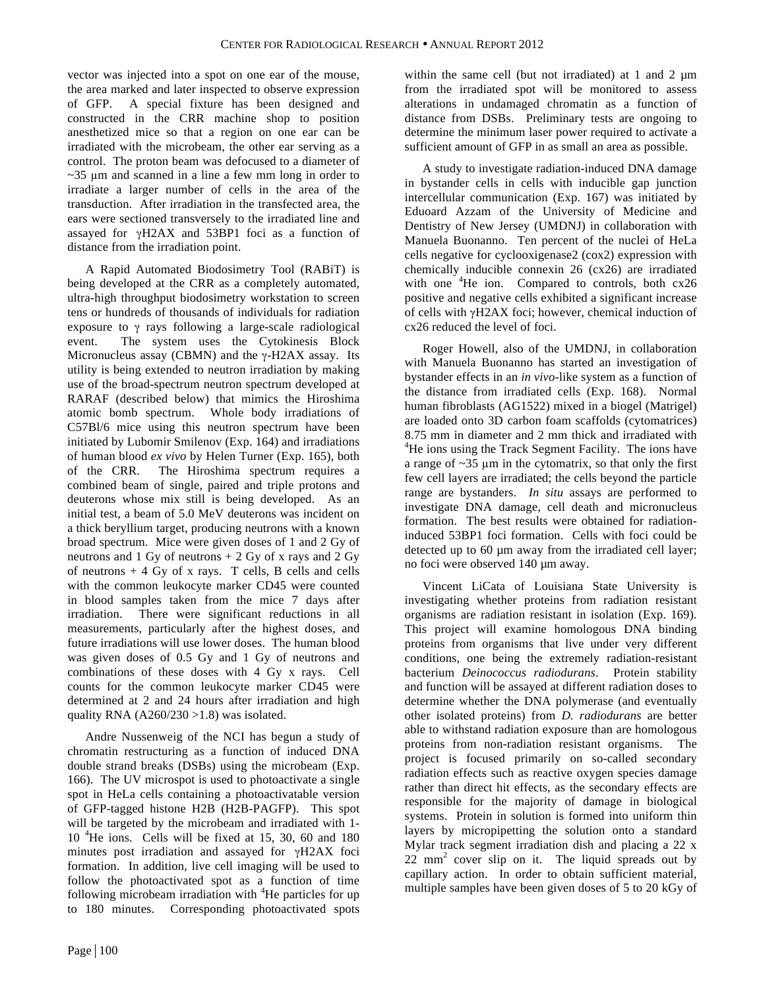vector was injected into a spot on one ear of the mouse, the area marked and later inspected to observe expression of GFP. A special fixture has been designed and constructed in the CRR machine shop to position anesthetized mice so that a region on one ear can be irradiated with the microbeam, the other ear serving as a control. The proton beam was defocused to a diameter of  $\sim$ 35 µm and scanned in a line a few mm long in order to irradiate a larger number of cells in the area of the transduction. After irradiation in the transfected area, the ears were sectioned transversely to the irradiated line and assayed for γH2AX and 53BP1 foci as a function of distance from the irradiation point.

A Rapid Automated Biodosimetry Tool (RABiT) is being developed at the CRR as a completely automated, ultra-high throughput biodosimetry workstation to screen tens or hundreds of thousands of individuals for radiation exposure to γ rays following a large-scale radiological event. The system uses the Cytokinesis Block Micronucleus assay (CBMN) and the  $\gamma$ -H2AX assay. Its utility is being extended to neutron irradiation by making use of the broad-spectrum neutron spectrum developed at RARAF (described below) that mimics the Hiroshima atomic bomb spectrum. Whole body irradiations of C57Bl/6 mice using this neutron spectrum have been initiated by Lubomir Smilenov (Exp. 164) and irradiations of human blood *ex vivo* by Helen Turner (Exp. 165), both of the CRR. The Hiroshima spectrum requires a combined beam of single, paired and triple protons and deuterons whose mix still is being developed. As an initial test, a beam of 5.0 MeV deuterons was incident on a thick beryllium target, producing neutrons with a known broad spectrum. Mice were given doses of 1 and 2 Gy of neutrons and 1 Gy of neutrons  $+ 2$  Gy of x rays and 2 Gy of neutrons  $+4$  Gy of x rays. T cells, B cells and cells with the common leukocyte marker CD45 were counted in blood samples taken from the mice 7 days after irradiation. There were significant reductions in all measurements, particularly after the highest doses, and future irradiations will use lower doses. The human blood was given doses of 0.5 Gy and 1 Gy of neutrons and combinations of these doses with 4 Gy x rays. Cell counts for the common leukocyte marker CD45 were determined at 2 and 24 hours after irradiation and high quality RNA  $(A260/230 > 1.8)$  was isolated.

Andre Nussenweig of the NCI has begun a study of chromatin restructuring as a function of induced DNA double strand breaks (DSBs) using the microbeam (Exp. 166). The UV microspot is used to photoactivate a single spot in HeLa cells containing a photoactivatable version of GFP-tagged histone H2B (H2B-PAGFP). This spot will be targeted by the microbeam and irradiated with 1- 10 <sup>4</sup> He ions. Cells will be fixed at 15, 30, 60 and 180 minutes post irradiation and assayed for γH2AX foci formation. In addition, live cell imaging will be used to follow the photoactivated spot as a function of time following microbeam irradiation with <sup>4</sup>He particles for up to 180 minutes. Corresponding photoactivated spots

within the same cell (but not irradiated) at 1 and 2  $\mu$ m from the irradiated spot will be monitored to assess alterations in undamaged chromatin as a function of distance from DSBs. Preliminary tests are ongoing to determine the minimum laser power required to activate a sufficient amount of GFP in as small an area as possible.

A study to investigate radiation-induced DNA damage in bystander cells in cells with inducible gap junction intercellular communication (Exp. 167) was initiated by Eduoard Azzam of the University of Medicine and Dentistry of New Jersey (UMDNJ) in collaboration with Manuela Buonanno. Ten percent of the nuclei of HeLa cells negative for cyclooxigenase2 (cox2) expression with chemically inducible connexin 26 (cx26) are irradiated with one <sup>4</sup>He ion. Compared to controls, both cx26 positive and negative cells exhibited a significant increase of cells with γH2AX foci; however, chemical induction of cx26 reduced the level of foci.

Roger Howell, also of the UMDNJ, in collaboration with Manuela Buonanno has started an investigation of bystander effects in an *in vivo*-like system as a function of the distance from irradiated cells (Exp. 168). Normal human fibroblasts (AG1522) mixed in a biogel (Matrigel) are loaded onto 3D carbon foam scaffolds (cytomatrices) 8.75 mm in diameter and 2 mm thick and irradiated with 4 <sup>4</sup>He ions using the Track Segment Facility. The ions have a range of  $\sim$ 35  $\mu$ m in the cytomatrix, so that only the first few cell layers are irradiated; the cells beyond the particle range are bystanders. *In situ* assays are performed to investigate DNA damage, cell death and micronucleus formation. The best results were obtained for radiationinduced 53BP1 foci formation. Cells with foci could be detected up to 60 µm away from the irradiated cell layer; no foci were observed 140 µm away.

Vincent LiCata of Louisiana State University is investigating whether proteins from radiation resistant organisms are radiation resistant in isolation (Exp. 169). This project will examine homologous DNA binding proteins from organisms that live under very different conditions, one being the extremely radiation-resistant bacterium *Deinococcus radiodurans*. Protein stability and function will be assayed at different radiation doses to determine whether the DNA polymerase (and eventually other isolated proteins) from *D. radiodurans* are better able to withstand radiation exposure than are homologous proteins from non-radiation resistant organisms. The project is focused primarily on so-called secondary radiation effects such as reactive oxygen species damage rather than direct hit effects, as the secondary effects are responsible for the majority of damage in biological systems. Protein in solution is formed into uniform thin layers by micropipetting the solution onto a standard Mylar track segment irradiation dish and placing a 22 x  $22 \text{ mm}^2$  cover slip on it. The liquid spreads out by capillary action. In order to obtain sufficient material, multiple samples have been given doses of 5 to 20 kGy of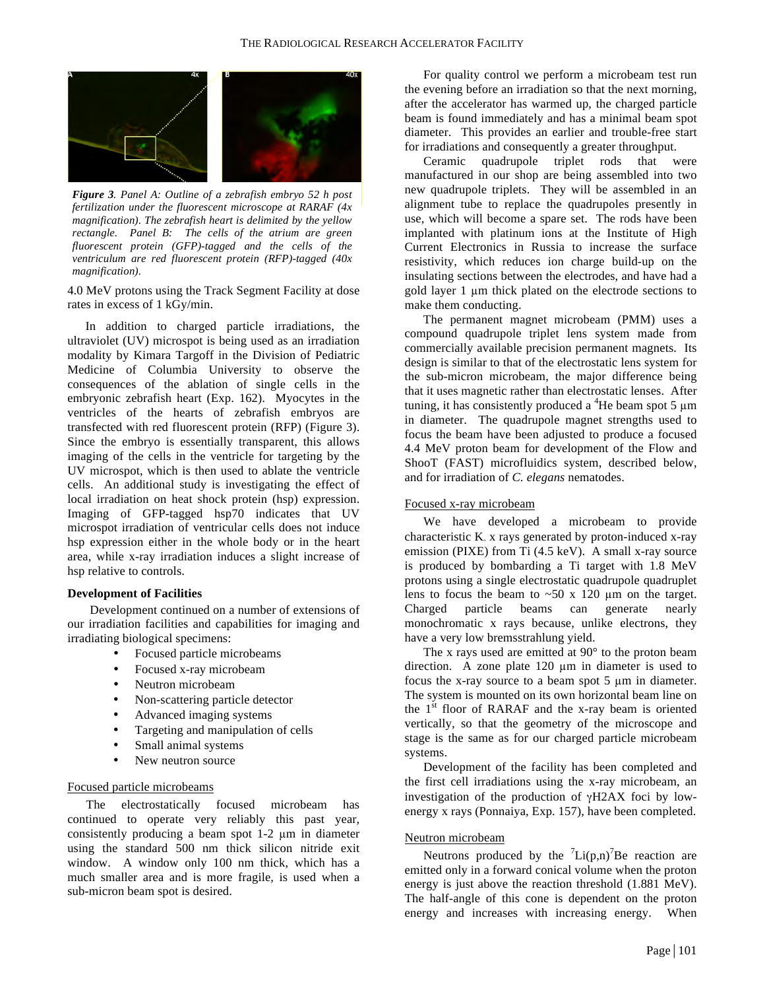

*Figure 3. Panel A: Outline of a zebrafish embryo 52 h post fertilization under the fluorescent microscope at RARAF (4x magnification). The zebrafish heart is delimited by the yellow rectangle. Panel B: The cells of the atrium are green fluorescent protein (GFP)-tagged and the cells of the ventriculum are red fluorescent protein (RFP)-tagged (40x magnification).*

4.0 MeV protons using the Track Segment Facility at dose rates in excess of 1 kGy/min.

In addition to charged particle irradiations, the ultraviolet (UV) microspot is being used as an irradiation modality by Kimara Targoff in the Division of Pediatric Medicine of Columbia University to observe the consequences of the ablation of single cells in the embryonic zebrafish heart (Exp. 162). Myocytes in the ventricles of the hearts of zebrafish embryos are transfected with red fluorescent protein (RFP) (Figure 3). Since the embryo is essentially transparent, this allows imaging of the cells in the ventricle for targeting by the UV microspot, which is then used to ablate the ventricle cells. An additional study is investigating the effect of local irradiation on heat shock protein (hsp) expression. Imaging of GFP-tagged hsp70 indicates that UV microspot irradiation of ventricular cells does not induce hsp expression either in the whole body or in the heart area, while x-ray irradiation induces a slight increase of hsp relative to controls.

#### **Development of Facilities**

Development continued on a number of extensions of our irradiation facilities and capabilities for imaging and irradiating biological specimens:

- Focused particle microbeams
- Focused x-ray microbeam
- Neutron microbeam
- Non-scattering particle detector
- Advanced imaging systems
- Targeting and manipulation of cells
- Small animal systems
- New neutron source

#### Focused particle microbeams

The electrostatically focused microbeam has continued to operate very reliably this past year, consistently producing a beam spot 1-2 µm in diameter using the standard 500 nm thick silicon nitride exit window. A window only 100 nm thick, which has a much smaller area and is more fragile, is used when a sub-micron beam spot is desired.

For quality control we perform a microbeam test run the evening before an irradiation so that the next morning, after the accelerator has warmed up, the charged particle beam is found immediately and has a minimal beam spot diameter. This provides an earlier and trouble-free start for irradiations and consequently a greater throughput.

Ceramic quadrupole triplet rods that were manufactured in our shop are being assembled into two new quadrupole triplets. They will be assembled in an alignment tube to replace the quadrupoles presently in use, which will become a spare set. The rods have been implanted with platinum ions at the Institute of High Current Electronics in Russia to increase the surface resistivity, which reduces ion charge build-up on the insulating sections between the electrodes, and have had a gold layer 1 µm thick plated on the electrode sections to make them conducting.

The permanent magnet microbeam (PMM) uses a compound quadrupole triplet lens system made from commercially available precision permanent magnets. Its design is similar to that of the electrostatic lens system for the sub-micron microbeam, the major difference being that it uses magnetic rather than electrostatic lenses. After tuning, it has consistently produced a <sup>4</sup>He beam spot 5  $\mu$ m in diameter. The quadrupole magnet strengths used to focus the beam have been adjusted to produce a focused 4.4 MeV proton beam for development of the Flow and ShooT (FAST) microfluidics system, described below, and for irradiation of *C. elegans* nematodes.

## Focused x-ray microbeam

We have developed a microbeam to provide characteristic  $K_a$  x rays generated by proton-induced x-ray emission (PIXE) from Ti (4.5 keV). A small x-ray source is produced by bombarding a Ti target with 1.8 MeV protons using a single electrostatic quadrupole quadruplet lens to focus the beam to  $\sim 50 \times 120 \mu m$  on the target. Charged particle beams can generate nearly monochromatic x rays because, unlike electrons, they have a very low bremsstrahlung yield.

The x rays used are emitted at 90° to the proton beam direction. A zone plate 120 µm in diameter is used to focus the x-ray source to a beam spot 5 µm in diameter. The system is mounted on its own horizontal beam line on the  $1<sup>st</sup>$  floor of RARAF and the x-ray beam is oriented vertically, so that the geometry of the microscope and stage is the same as for our charged particle microbeam systems.

Development of the facility has been completed and the first cell irradiations using the x-ray microbeam, an investigation of the production of γH2AX foci by lowenergy x rays (Ponnaiya, Exp. 157), have been completed.

### Neutron microbeam

Neutrons produced by the  $\text{Li}(p,n)^7$ Be reaction are emitted only in a forward conical volume when the proton energy is just above the reaction threshold (1.881 MeV). The half-angle of this cone is dependent on the proton energy and increases with increasing energy. When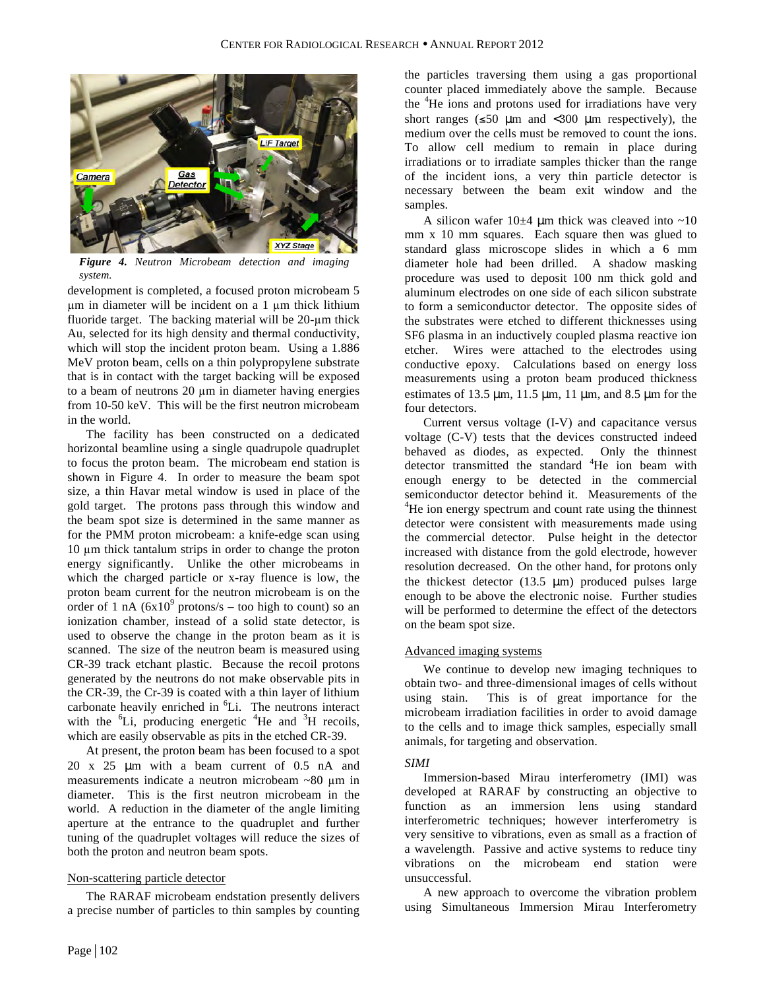

*Figure 4. Neutron Microbeam detection and imaging system.*

development is completed, a focused proton microbeam 5 µm in diameter will be incident on a 1 µm thick lithium fluoride target. The backing material will be 20-µm thick Au, selected for its high density and thermal conductivity, which will stop the incident proton beam. Using a 1.886 MeV proton beam, cells on a thin polypropylene substrate that is in contact with the target backing will be exposed to a beam of neutrons 20 µm in diameter having energies from 10-50 keV. This will be the first neutron microbeam in the world.

The facility has been constructed on a dedicated horizontal beamline using a single quadrupole quadruplet to focus the proton beam. The microbeam end station is shown in Figure 4. In order to measure the beam spot size, a thin Havar metal window is used in place of the gold target. The protons pass through this window and the beam spot size is determined in the same manner as for the PMM proton microbeam: a knife-edge scan using 10 µm thick tantalum strips in order to change the proton energy significantly. Unlike the other microbeams in which the charged particle or x-ray fluence is low, the proton beam current for the neutron microbeam is on the order of 1 nA  $(6x10^9 \text{ protons/s} - \text{too high to count})$  so an ionization chamber, instead of a solid state detector, is used to observe the change in the proton beam as it is scanned. The size of the neutron beam is measured using CR-39 track etchant plastic. Because the recoil protons generated by the neutrons do not make observable pits in the CR-39, the Cr-39 is coated with a thin layer of lithium carbonate heavily enriched in <sup>6</sup>Li. The neutrons interact with the  ${}^{6}$ Li, producing energetic  ${}^{4}$ He and  ${}^{3}$ H recoils, which are easily observable as pits in the etched CR-39.

At present, the proton beam has been focused to a spot 20 x 25 µm with a beam current of 0.5 nA and measurements indicate a neutron microbeam ~80 µm in diameter. This is the first neutron microbeam in the world. A reduction in the diameter of the angle limiting aperture at the entrance to the quadruplet and further tuning of the quadruplet voltages will reduce the sizes of both the proton and neutron beam spots.

#### Non-scattering particle detector

The RARAF microbeam endstation presently delivers a precise number of particles to thin samples by counting

the particles traversing them using a gas proportional counter placed immediately above the sample. Because the <sup>4</sup>He ions and protons used for irradiations have very short ranges ( $\leq 50 \mu m$  and  $\lt 300 \mu m$  respectively), the medium over the cells must be removed to count the ions. To allow cell medium to remain in place during irradiations or to irradiate samples thicker than the range of the incident ions, a very thin particle detector is necessary between the beam exit window and the samples.

A silicon wafer  $10\pm4$  µm thick was cleaved into ~10 mm x 10 mm squares. Each square then was glued to standard glass microscope slides in which a 6 mm diameter hole had been drilled. A shadow masking procedure was used to deposit 100 nm thick gold and aluminum electrodes on one side of each silicon substrate to form a semiconductor detector. The opposite sides of the substrates were etched to different thicknesses using SF6 plasma in an inductively coupled plasma reactive ion etcher. Wires were attached to the electrodes using conductive epoxy. Calculations based on energy loss measurements using a proton beam produced thickness estimates of 13.5  $\mu$ m, 11.5  $\mu$ m, 11  $\mu$ m, and 8.5  $\mu$ m for the four detectors.

Current versus voltage (I-V) and capacitance versus voltage (C-V) tests that the devices constructed indeed behaved as diodes, as expected. Only the thinnest detector transmitted the standard <sup>4</sup>He ion beam with enough energy to be detected in the commercial semiconductor detector behind it. Measurements of the <sup>4</sup>He ion energy spectrum and count rate using the thinnest detector were consistent with measurements made using the commercial detector. Pulse height in the detector increased with distance from the gold electrode, however resolution decreased. On the other hand, for protons only the thickest detector  $(13.5 \mu m)$  produced pulses large enough to be above the electronic noise. Further studies will be performed to determine the effect of the detectors on the beam spot size.

## Advanced imaging systems

We continue to develop new imaging techniques to obtain two- and three-dimensional images of cells without using stain. This is of great importance for the microbeam irradiation facilities in order to avoid damage to the cells and to image thick samples, especially small animals, for targeting and observation.

## *SIMI*

Immersion-based Mirau interferometry (IMI) was developed at RARAF by constructing an objective to function as an immersion lens using standard interferometric techniques; however interferometry is very sensitive to vibrations, even as small as a fraction of a wavelength. Passive and active systems to reduce tiny vibrations on the microbeam end station were unsuccessful.

A new approach to overcome the vibration problem using Simultaneous Immersion Mirau Interferometry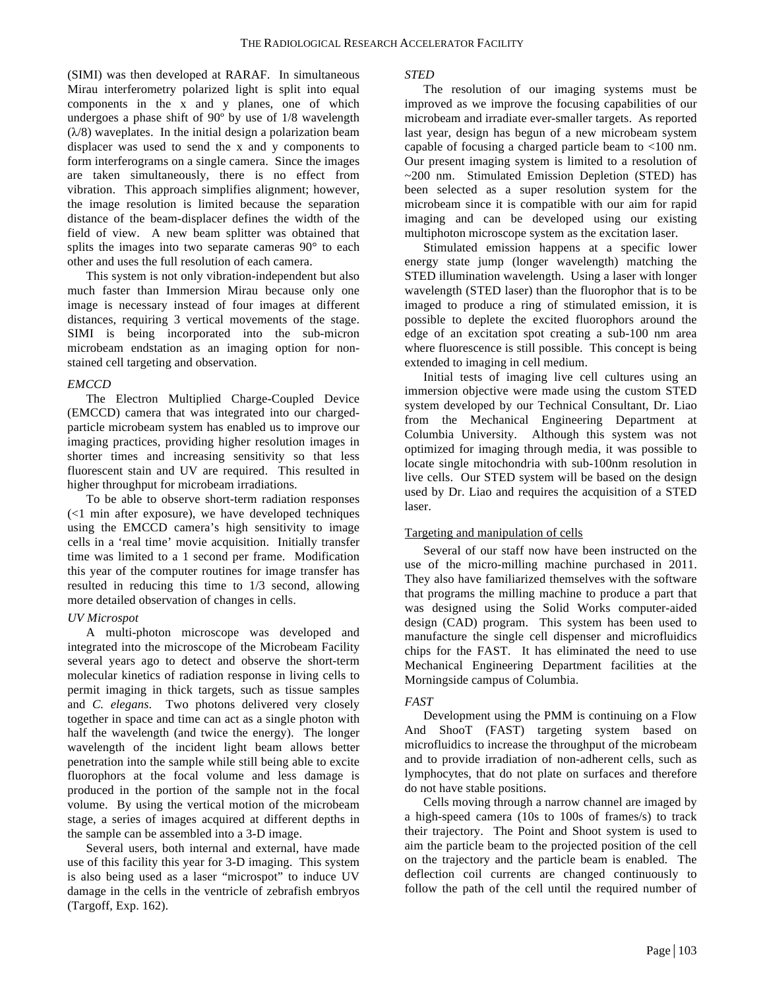(SIMI) was then developed at RARAF. In simultaneous Mirau interferometry polarized light is split into equal components in the x and y planes, one of which undergoes a phase shift of 90º by use of 1/8 wavelength  $(\lambda/8)$  waveplates. In the initial design a polarization beam displacer was used to send the x and y components to form interferograms on a single camera. Since the images are taken simultaneously, there is no effect from vibration. This approach simplifies alignment; however, the image resolution is limited because the separation distance of the beam-displacer defines the width of the field of view. A new beam splitter was obtained that splits the images into two separate cameras 90° to each other and uses the full resolution of each camera.

This system is not only vibration-independent but also much faster than Immersion Mirau because only one image is necessary instead of four images at different distances, requiring 3 vertical movements of the stage. SIMI is being incorporated into the sub-micron microbeam endstation as an imaging option for nonstained cell targeting and observation.

## *EMCCD*

The Electron Multiplied Charge-Coupled Device (EMCCD) camera that was integrated into our chargedparticle microbeam system has enabled us to improve our imaging practices, providing higher resolution images in shorter times and increasing sensitivity so that less fluorescent stain and UV are required. This resulted in higher throughput for microbeam irradiations.

To be able to observe short-term radiation responses (<1 min after exposure), we have developed techniques using the EMCCD camera's high sensitivity to image cells in a 'real time' movie acquisition. Initially transfer time was limited to a 1 second per frame. Modification this year of the computer routines for image transfer has resulted in reducing this time to 1/3 second, allowing more detailed observation of changes in cells.

## *UV Microspot*

A multi-photon microscope was developed and integrated into the microscope of the Microbeam Facility several years ago to detect and observe the short-term molecular kinetics of radiation response in living cells to permit imaging in thick targets, such as tissue samples and *C. elegans*. Two photons delivered very closely together in space and time can act as a single photon with half the wavelength (and twice the energy). The longer wavelength of the incident light beam allows better penetration into the sample while still being able to excite fluorophors at the focal volume and less damage is produced in the portion of the sample not in the focal volume. By using the vertical motion of the microbeam stage, a series of images acquired at different depths in the sample can be assembled into a 3-D image.

Several users, both internal and external, have made use of this facility this year for 3-D imaging. This system is also being used as a laser "microspot" to induce UV damage in the cells in the ventricle of zebrafish embryos (Targoff, Exp. 162).

## *STED*

The resolution of our imaging systems must be improved as we improve the focusing capabilities of our microbeam and irradiate ever-smaller targets. As reported last year, design has begun of a new microbeam system capable of focusing a charged particle beam to <100 nm. Our present imaging system is limited to a resolution of ~200 nm. Stimulated Emission Depletion (STED) has been selected as a super resolution system for the microbeam since it is compatible with our aim for rapid imaging and can be developed using our existing multiphoton microscope system as the excitation laser.

Stimulated emission happens at a specific lower energy state jump (longer wavelength) matching the STED illumination wavelength. Using a laser with longer wavelength (STED laser) than the fluorophor that is to be imaged to produce a ring of stimulated emission, it is possible to deplete the excited fluorophors around the edge of an excitation spot creating a sub-100 nm area where fluorescence is still possible. This concept is being extended to imaging in cell medium.

Initial tests of imaging live cell cultures using an immersion objective were made using the custom STED system developed by our Technical Consultant, Dr. Liao from the Mechanical Engineering Department at Columbia University. Although this system was not optimized for imaging through media, it was possible to locate single mitochondria with sub-100nm resolution in live cells. Our STED system will be based on the design used by Dr. Liao and requires the acquisition of a STED laser.

## Targeting and manipulation of cells

Several of our staff now have been instructed on the use of the micro-milling machine purchased in 2011. They also have familiarized themselves with the software that programs the milling machine to produce a part that was designed using the Solid Works computer-aided design (CAD) program. This system has been used to manufacture the single cell dispenser and microfluidics chips for the FAST. It has eliminated the need to use Mechanical Engineering Department facilities at the Morningside campus of Columbia.

## *FAST*

Development using the PMM is continuing on a Flow And ShooT (FAST) targeting system based on microfluidics to increase the throughput of the microbeam and to provide irradiation of non-adherent cells, such as lymphocytes, that do not plate on surfaces and therefore do not have stable positions.

Cells moving through a narrow channel are imaged by a high-speed camera (10s to 100s of frames/s) to track their trajectory. The Point and Shoot system is used to aim the particle beam to the projected position of the cell on the trajectory and the particle beam is enabled. The deflection coil currents are changed continuously to follow the path of the cell until the required number of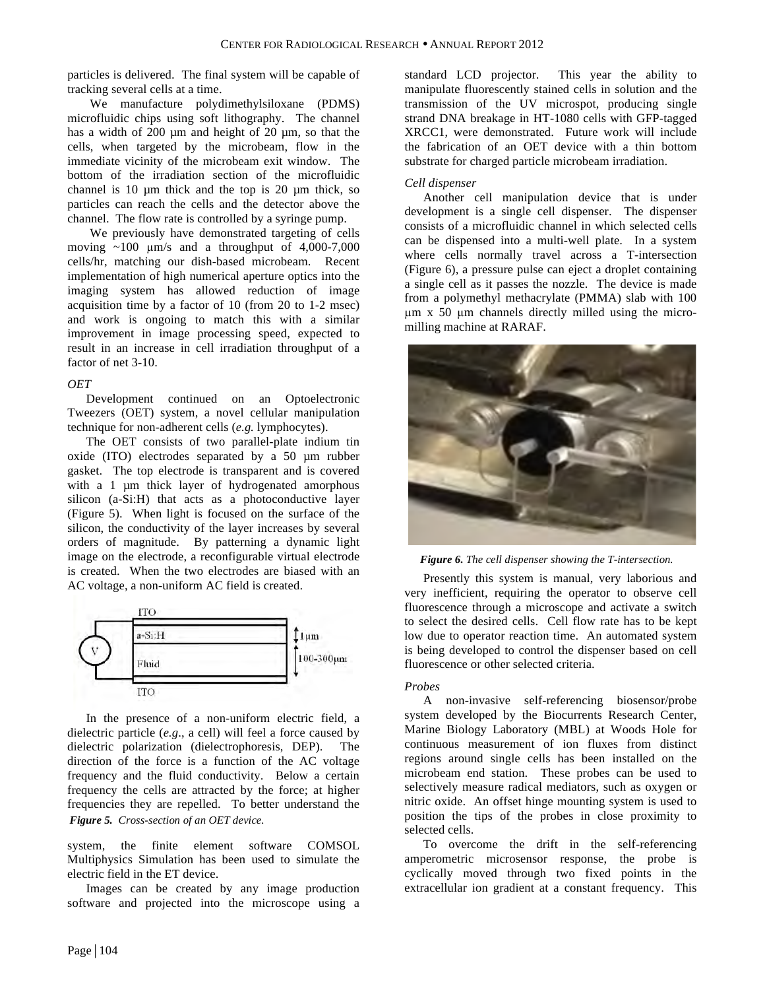particles is delivered. The final system will be capable of tracking several cells at a time.

We manufacture polydimethylsiloxane (PDMS) microfluidic chips using soft lithography. The channel has a width of 200 µm and height of 20 µm, so that the cells, when targeted by the microbeam, flow in the immediate vicinity of the microbeam exit window. The bottom of the irradiation section of the microfluidic channel is  $10 \mu m$  thick and the top is  $20 \mu m$  thick, so particles can reach the cells and the detector above the channel. The flow rate is controlled by a syringe pump.

We previously have demonstrated targeting of cells moving  $\sim$ 100  $\mu$ m/s and a throughput of 4,000-7,000 cells/hr, matching our dish-based microbeam. Recent implementation of high numerical aperture optics into the imaging system has allowed reduction of image acquisition time by a factor of 10 (from 20 to 1-2 msec) and work is ongoing to match this with a similar improvement in image processing speed, expected to result in an increase in cell irradiation throughput of a factor of net 3-10.

## *OET*

Development continued on an Optoelectronic Tweezers (OET) system, a novel cellular manipulation technique for non-adherent cells (*e.g.* lymphocytes).

The OET consists of two parallel-plate indium tin oxide (ITO) electrodes separated by a 50 µm rubber gasket. The top electrode is transparent and is covered with a 1  $\mu$ m thick layer of hydrogenated amorphous silicon (a-Si:H) that acts as a photoconductive layer (Figure 5). When light is focused on the surface of the silicon, the conductivity of the layer increases by several orders of magnitude. By patterning a dynamic light image on the electrode, a reconfigurable virtual electrode is created. When the two electrodes are biased with an AC voltage, a non-uniform AC field is created.



In the presence of a non-uniform electric field, a dielectric particle (*e.g*., a cell) will feel a force caused by dielectric polarization (dielectrophoresis, DEP). The direction of the force is a function of the AC voltage frequency and the fluid conductivity. Below a certain frequency the cells are attracted by the force; at higher frequencies they are repelled. To better understand the *Figure 5. Cross-section of an OET device.*

system, the finite element software COMSOL Multiphysics Simulation has been used to simulate the electric field in the ET device.

Images can be created by any image production software and projected into the microscope using a

standard LCD projector. This year the ability to manipulate fluorescently stained cells in solution and the transmission of the UV microspot, producing single strand DNA breakage in HT-1080 cells with GFP-tagged XRCC1, were demonstrated. Future work will include the fabrication of an OET device with a thin bottom substrate for charged particle microbeam irradiation.

# *Cell dispenser*

Another cell manipulation device that is under development is a single cell dispenser. The dispenser consists of a microfluidic channel in which selected cells can be dispensed into a multi-well plate. In a system where cells normally travel across a T-intersection (Figure 6), a pressure pulse can eject a droplet containing a single cell as it passes the nozzle. The device is made from a polymethyl methacrylate (PMMA) slab with 100 µm x 50 µm channels directly milled using the micromilling machine at RARAF.



*Figure 6. The cell dispenser showing the T-intersection.*

Presently this system is manual, very laborious and very inefficient, requiring the operator to observe cell fluorescence through a microscope and activate a switch to select the desired cells. Cell flow rate has to be kept low due to operator reaction time. An automated system is being developed to control the dispenser based on cell fluorescence or other selected criteria.

## *Probes*

A non-invasive self-referencing biosensor/probe system developed by the Biocurrents Research Center, Marine Biology Laboratory (MBL) at Woods Hole for continuous measurement of ion fluxes from distinct regions around single cells has been installed on the microbeam end station. These probes can be used to selectively measure radical mediators, such as oxygen or nitric oxide. An offset hinge mounting system is used to position the tips of the probes in close proximity to selected cells.

To overcome the drift in the self-referencing amperometric microsensor response, the probe is cyclically moved through two fixed points in the extracellular ion gradient at a constant frequency. This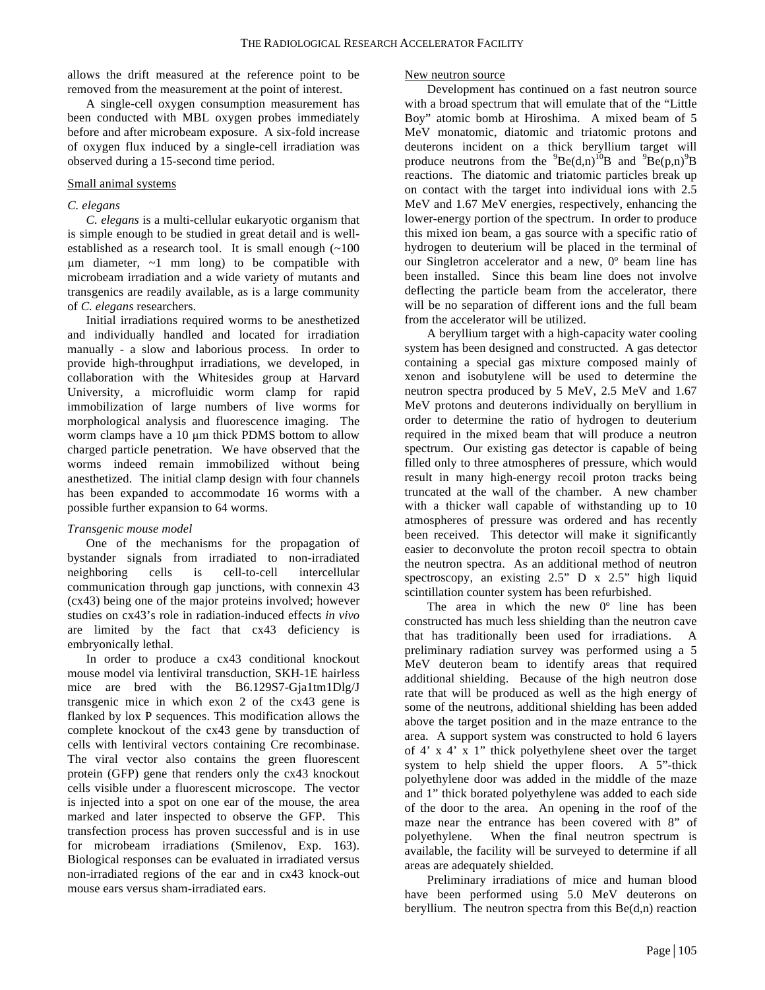allows the drift measured at the reference point to be removed from the measurement at the point of interest.

A single-cell oxygen consumption measurement has been conducted with MBL oxygen probes immediately before and after microbeam exposure. A six-fold increase of oxygen flux induced by a single-cell irradiation was observed during a 15-second time period.

## Small animal systems

## *C. elegans*

*C. elegans* is a multi-cellular eukaryotic organism that is simple enough to be studied in great detail and is wellestablished as a research tool. It is small enough (~100  $\mu$ m diameter,  $\sim$ 1 mm long) to be compatible with microbeam irradiation and a wide variety of mutants and transgenics are readily available, as is a large community of *C. elegans* researchers.

Initial irradiations required worms to be anesthetized and individually handled and located for irradiation manually - a slow and laborious process. In order to provide high-throughput irradiations, we developed, in collaboration with the Whitesides group at Harvard University, a microfluidic worm clamp for rapid immobilization of large numbers of live worms for morphological analysis and fluorescence imaging. The worm clamps have a 10 um thick PDMS bottom to allow charged particle penetration. We have observed that the worms indeed remain immobilized without being anesthetized. The initial clamp design with four channels has been expanded to accommodate 16 worms with a possible further expansion to 64 worms.

## *Transgenic mouse model*

One of the mechanisms for the propagation of bystander signals from irradiated to non-irradiated neighboring cells is cell-to-cell intercellular communication through gap junctions, with connexin 43 (cx43) being one of the major proteins involved; however studies on cx43's role in radiation-induced effects *in vivo* are limited by the fact that cx43 deficiency is embryonically lethal.

In order to produce a cx43 conditional knockout mouse model via lentiviral transduction, SKH-1E hairless mice are bred with the B6.129S7-Gja1tm1Dlg/J transgenic mice in which exon 2 of the cx43 gene is flanked by lox P sequences. This modification allows the complete knockout of the cx43 gene by transduction of cells with lentiviral vectors containing Cre recombinase. The viral vector also contains the green fluorescent protein (GFP) gene that renders only the cx43 knockout cells visible under a fluorescent microscope. The vector is injected into a spot on one ear of the mouse, the area marked and later inspected to observe the GFP. This transfection process has proven successful and is in use for microbeam irradiations (Smilenov, Exp. 163). Biological responses can be evaluated in irradiated versus non-irradiated regions of the ear and in cx43 knock-out mouse ears versus sham-irradiated ears.

## New neutron source

Development has continued on a fast neutron source with a broad spectrum that will emulate that of the "Little Boy" atomic bomb at Hiroshima. A mixed beam of 5 MeV monatomic, diatomic and triatomic protons and deuterons incident on a thick beryllium target will produce neutrons from the  ${}^{9}Be(d,n)$ <sup>10</sup>B and  ${}^{9}Be(p,n)$ <sup>9</sup>B reactions. The diatomic and triatomic particles break up on contact with the target into individual ions with 2.5 MeV and 1.67 MeV energies, respectively, enhancing the lower-energy portion of the spectrum. In order to produce this mixed ion beam, a gas source with a specific ratio of hydrogen to deuterium will be placed in the terminal of our Singletron accelerator and a new, 0º beam line has been installed. Since this beam line does not involve deflecting the particle beam from the accelerator, there will be no separation of different ions and the full beam from the accelerator will be utilized.

A beryllium target with a high-capacity water cooling system has been designed and constructed. A gas detector containing a special gas mixture composed mainly of xenon and isobutylene will be used to determine the neutron spectra produced by 5 MeV, 2.5 MeV and 1.67 MeV protons and deuterons individually on beryllium in order to determine the ratio of hydrogen to deuterium required in the mixed beam that will produce a neutron spectrum. Our existing gas detector is capable of being filled only to three atmospheres of pressure, which would result in many high-energy recoil proton tracks being truncated at the wall of the chamber. A new chamber with a thicker wall capable of withstanding up to 10 atmospheres of pressure was ordered and has recently been received. This detector will make it significantly easier to deconvolute the proton recoil spectra to obtain the neutron spectra. As an additional method of neutron spectroscopy, an existing 2.5" D x 2.5" high liquid scintillation counter system has been refurbished.

The area in which the new 0<sup>°</sup> line has been constructed has much less shielding than the neutron cave that has traditionally been used for irradiations. A preliminary radiation survey was performed using a 5 MeV deuteron beam to identify areas that required additional shielding. Because of the high neutron dose rate that will be produced as well as the high energy of some of the neutrons, additional shielding has been added above the target position and in the maze entrance to the area. A support system was constructed to hold 6 layers of 4' x 4' x 1" thick polyethylene sheet over the target system to help shield the upper floors. A 5"-thick polyethylene door was added in the middle of the maze and 1" thick borated polyethylene was added to each side of the door to the area. An opening in the roof of the maze near the entrance has been covered with 8" of polyethylene. When the final neutron spectrum is available, the facility will be surveyed to determine if all areas are adequately shielded.

Preliminary irradiations of mice and human blood have been performed using 5.0 MeV deuterons on beryllium. The neutron spectra from this  $Be(d,n)$  reaction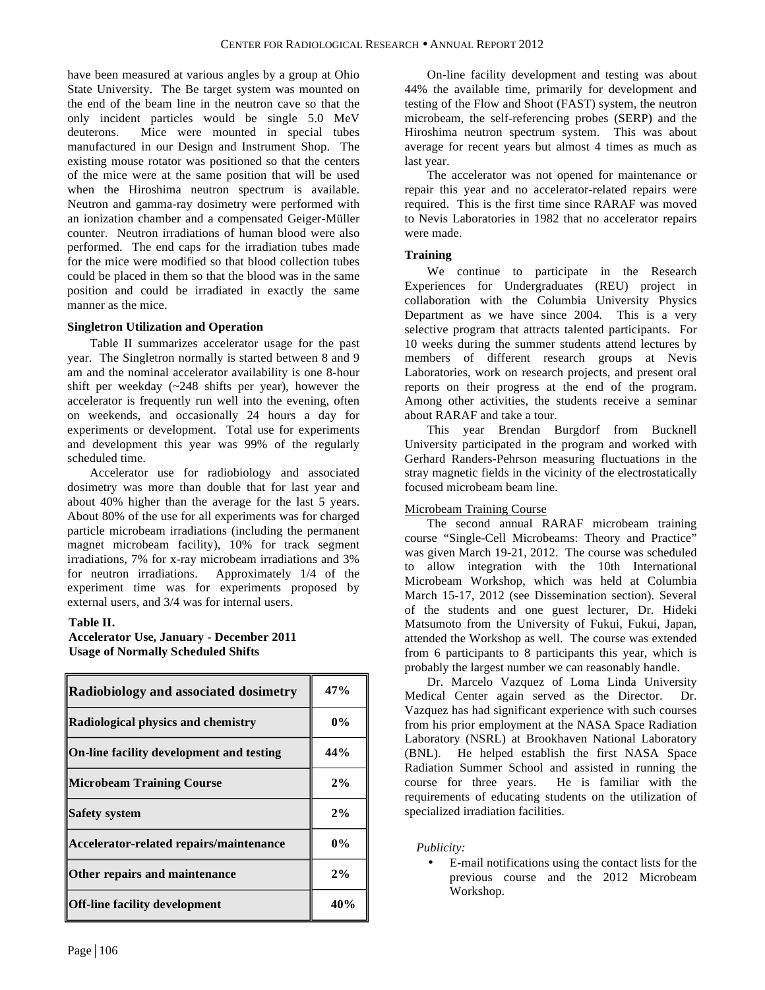have been measured at various angles by a group at Ohio State University. The Be target system was mounted on the end of the beam line in the neutron cave so that the only incident particles would be single 5.0 MeV deuterons. Mice were mounted in special tubes manufactured in our Design and Instrument Shop. The existing mouse rotator was positioned so that the centers of the mice were at the same position that will be used when the Hiroshima neutron spectrum is available. Neutron and gamma-ray dosimetry were performed with an ionization chamber and a compensated Geiger-Müller counter. Neutron irradiations of human blood were also performed. The end caps for the irradiation tubes made for the mice were modified so that blood collection tubes could be placed in them so that the blood was in the same position and could be irradiated in exactly the same manner as the mice.

## **Singletron Utilization and Operation**

Table II summarizes accelerator usage for the past year. The Singletron normally is started between 8 and 9 am and the nominal accelerator availability is one 8-hour shift per weekday (~248 shifts per year), however the accelerator is frequently run well into the evening, often on weekends, and occasionally 24 hours a day for experiments or development. Total use for experiments and development this year was 99% of the regularly scheduled time.

Accelerator use for radiobiology and associated dosimetry was more than double that for last year and about 40% higher than the average for the last 5 years. About 80% of the use for all experiments was for charged particle microbeam irradiations (including the permanent magnet microbeam facility), 10% for track segment irradiations, 7% for x-ray microbeam irradiations and 3% for neutron irradiations. Approximately 1/4 of the experiment time was for experiments proposed by external users, and 3/4 was for internal users.

## **Table II.**

## **Accelerator Use, January - December 2011 Usage of Normally Scheduled Shifts**

| <b>Radiobiology and associated dosimetry</b> | 47%   |
|----------------------------------------------|-------|
| <b>Radiological physics and chemistry</b>    | $0\%$ |
| On-line facility development and testing     | 44%   |
| Microbeam Training Course                    | 2%    |
| <b>Safety system</b>                         | 2%    |
| Accelerator-related repairs/maintenance      | $0\%$ |
| Other repairs and maintenance                | 2%    |
| Off-line facility development                | 40%   |

On-line facility development and testing was about 44% the available time, primarily for development and testing of the Flow and Shoot (FAST) system, the neutron microbeam, the self-referencing probes (SERP) and the Hiroshima neutron spectrum system. This was about average for recent years but almost 4 times as much as last year.

The accelerator was not opened for maintenance or repair this year and no accelerator-related repairs were required. This is the first time since RARAF was moved to Nevis Laboratories in 1982 that no accelerator repairs were made.

## **Training**

We continue to participate in the Research Experiences for Undergraduates (REU) project in collaboration with the Columbia University Physics Department as we have since 2004. This is a very selective program that attracts talented participants. For 10 weeks during the summer students attend lectures by members of different research groups at Nevis Laboratories, work on research projects, and present oral reports on their progress at the end of the program. Among other activities, the students receive a seminar about RARAF and take a tour.

This year Brendan Burgdorf from Bucknell University participated in the program and worked with Gerhard Randers-Pehrson measuring fluctuations in the stray magnetic fields in the vicinity of the electrostatically focused microbeam beam line.

# Microbeam Training Course

The second annual RARAF microbeam training course "Single-Cell Microbeams: Theory and Practice" was given March 19-21, 2012. The course was scheduled to allow integration with the 10th International Microbeam Workshop, which was held at Columbia March 15-17, 2012 (see Dissemination section). Several of the students and one guest lecturer, Dr. Hideki Matsumoto from the University of Fukui, Fukui, Japan, attended the Workshop as well. The course was extended from 6 participants to 8 participants this year, which is probably the largest number we can reasonably handle.

Dr. Marcelo Vazquez of Loma Linda University Medical Center again served as the Director. Dr. Vazquez has had significant experience with such courses from his prior employment at the NASA Space Radiation Laboratory (NSRL) at Brookhaven National Laboratory (BNL). He helped establish the first NASA Space Radiation Summer School and assisted in running the course for three years. He is familiar with the requirements of educating students on the utilization of specialized irradiation facilities.

*Publicity:*

• E-mail notifications using the contact lists for the previous course and the 2012 Microbeam Workshop.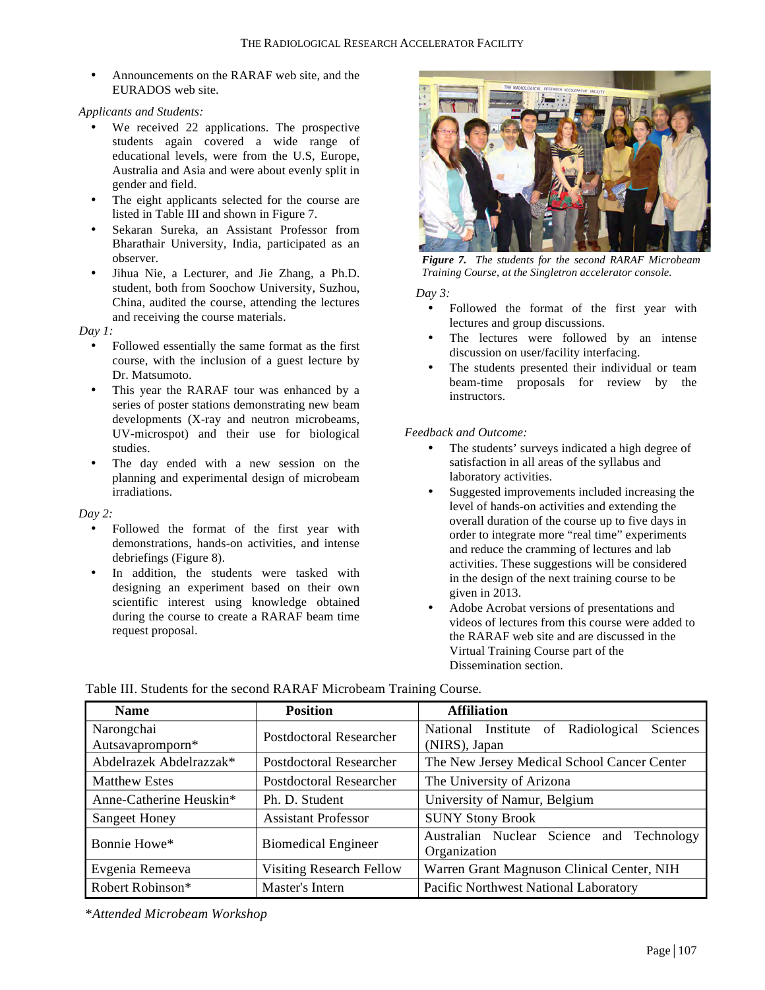• Announcements on the RARAF web site, and the EURADOS web site.

*Applicants and Students:*

- We received 22 applications. The prospective students again covered a wide range of educational levels, were from the U.S, Europe, Australia and Asia and were about evenly split in gender and field.
- The eight applicants selected for the course are listed in Table III and shown in Figure 7.
- Sekaran Sureka, an Assistant Professor from Bharathair University, India, participated as an observer.
- Jihua Nie, a Lecturer, and Jie Zhang, a Ph.D. student, both from Soochow University, Suzhou, China, audited the course, attending the lectures and receiving the course materials.

*Day 1:*

- Followed essentially the same format as the first course, with the inclusion of a guest lecture by Dr. Matsumoto.
- This year the RARAF tour was enhanced by a series of poster stations demonstrating new beam developments (X-ray and neutron microbeams, UV-microspot) and their use for biological studies.
- The day ended with a new session on the planning and experimental design of microbeam irradiations.

*Day 2:*

- Followed the format of the first year with demonstrations, hands-on activities, and intense debriefings (Figure 8).
- In addition, the students were tasked with designing an experiment based on their own scientific interest using knowledge obtained during the course to create a RARAF beam time request proposal.



*Figure 7. The students for the second RARAF Microbeam Training Course, at the Singletron accelerator console.*

*Day 3:*

- Followed the format of the first year with lectures and group discussions.
- The lectures were followed by an intense discussion on user/facility interfacing.
- The students presented their individual or team beam-time proposals for review by the instructors.

*Feedback and Outcome:*

- The students' surveys indicated a high degree of satisfaction in all areas of the syllabus and laboratory activities.
- Suggested improvements included increasing the level of hands-on activities and extending the overall duration of the course up to five days in order to integrate more "real time" experiments and reduce the cramming of lectures and lab activities. These suggestions will be considered in the design of the next training course to be given in 2013.
- Adobe Acrobat versions of presentations and videos of lectures from this course were added to the RARAF web site and are discussed in the Virtual Training Course part of the Dissemination section.

| <b>Name</b>             | <b>Position</b>                 | <b>Affiliation</b>                                |
|-------------------------|---------------------------------|---------------------------------------------------|
| Narongchai              | Postdoctoral Researcher         | Institute of Radiological<br>Sciences<br>National |
| Autsavapromporn*        |                                 | (NIRS), Japan                                     |
| Abdelrazek Abdelrazzak* | <b>Postdoctoral Researcher</b>  | The New Jersey Medical School Cancer Center       |
| <b>Matthew Estes</b>    | <b>Postdoctoral Researcher</b>  | The University of Arizona                         |
| Anne-Catherine Heuskin* | Ph. D. Student                  | University of Namur, Belgium                      |
| <b>Sangeet Honey</b>    | <b>Assistant Professor</b>      | <b>SUNY Stony Brook</b>                           |
| Bonnie Howe*            | <b>Biomedical Engineer</b>      | Australian Nuclear Science and Technology         |
|                         |                                 | Organization                                      |
| Evgenia Remeeva         | <b>Visiting Research Fellow</b> | Warren Grant Magnuson Clinical Center, NIH        |
| Robert Robinson*        | Master's Intern                 | Pacific Northwest National Laboratory             |

Table III. Students for the second RARAF Microbeam Training Course*.*

\**Attended Microbeam Workshop*